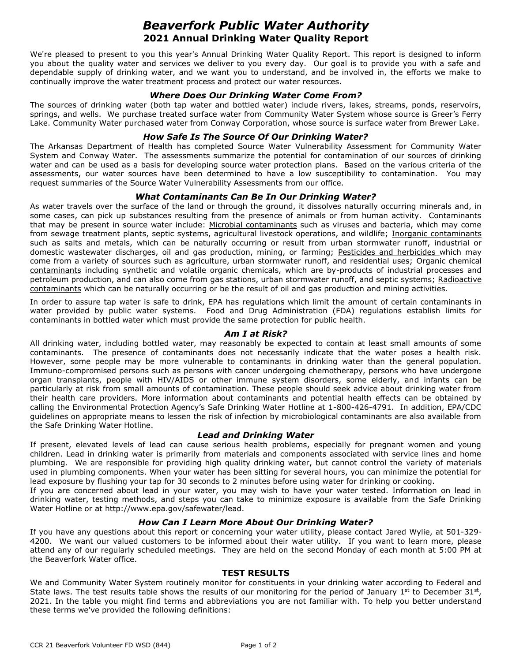# *Beaverfork Public Water Authority* **2021 Annual Drinking Water Quality Report**

We're pleased to present to you this year's Annual Drinking Water Quality Report. This report is designed to inform you about the quality water and services we deliver to you every day. Our goal is to provide you with a safe and dependable supply of drinking water, and we want you to understand, and be involved in, the efforts we make to continually improve the water treatment process and protect our water resources.

## *Where Does Our Drinking Water Come From?*

The sources of drinking water (both tap water and bottled water) include rivers, lakes, streams, ponds, reservoirs, springs, and wells. We purchase treated surface water from Community Water System whose source is Greer's Ferry Lake. Community Water purchased water from Conway Corporation, whose source is surface water from Brewer Lake.

## *How Safe Is The Source Of Our Drinking Water?*

The Arkansas Department of Health has completed Source Water Vulnerability Assessment for Community Water System and Conway Water. The assessments summarize the potential for contamination of our sources of drinking water and can be used as a basis for developing source water protection plans. Based on the various criteria of the assessments, our water sources have been determined to have a low susceptibility to contamination. You may request summaries of the Source Water Vulnerability Assessments from our office.

# *What Contaminants Can Be In Our Drinking Water?*

As water travels over the surface of the land or through the ground, it dissolves naturally occurring minerals and, in some cases, can pick up substances resulting from the presence of animals or from human activity. Contaminants that may be present in source water include: Microbial contaminants such as viruses and bacteria, which may come from sewage treatment plants, septic systems, agricultural livestock operations, and wildlife; Inorganic contaminants such as salts and metals, which can be naturally occurring or result from urban stormwater runoff, industrial or domestic wastewater discharges, oil and gas production, mining, or farming; Pesticides and herbicides which may come from a variety of sources such as agriculture, urban stormwater runoff, and residential uses; Organic chemical contaminants including synthetic and volatile organic chemicals, which are by-products of industrial processes and petroleum production, and can also come from gas stations, urban stormwater runoff, and septic systems; Radioactive contaminants which can be naturally occurring or be the result of oil and gas production and mining activities.

In order to assure tap water is safe to drink, EPA has regulations which limit the amount of certain contaminants in water provided by public water systems. Food and Drug Administration (FDA) regulations establish limits for contaminants in bottled water which must provide the same protection for public health.

#### *Am I at Risk?*

All drinking water, including bottled water, may reasonably be expected to contain at least small amounts of some contaminants. The presence of contaminants does not necessarily indicate that the water poses a health risk. However, some people may be more vulnerable to contaminants in drinking water than the general population. Immuno-compromised persons such as persons with cancer undergoing chemotherapy, persons who have undergone organ transplants, people with HIV/AIDS or other immune system disorders, some elderly, and infants can be particularly at risk from small amounts of contamination. These people should seek advice about drinking water from their health care providers. More information about contaminants and potential health effects can be obtained by calling the Environmental Protection Agency's Safe Drinking Water Hotline at 1-800-426-4791. In addition, EPA/CDC guidelines on appropriate means to lessen the risk of infection by microbiological contaminants are also available from the Safe Drinking Water Hotline.

#### *Lead and Drinking Water*

If present, elevated levels of lead can cause serious health problems, especially for pregnant women and young children. Lead in drinking water is primarily from materials and components associated with service lines and home plumbing. We are responsible for providing high quality drinking water, but cannot control the variety of materials used in plumbing components. When your water has been sitting for several hours, you can minimize the potential for lead exposure by flushing your tap for 30 seconds to 2 minutes before using water for drinking or cooking.

If you are concerned about lead in your water, you may wish to have your water tested. Information on lead in drinking water, testing methods, and steps you can take to minimize exposure is available from the Safe Drinking Water Hotline or at http://www.epa.gov/safewater/lead.

#### *How Can I Learn More About Our Drinking Water?*

If you have any questions about this report or concerning your water utility, please contact Jared Wylie, at 501-329- 4200. We want our valued customers to be informed about their water utility. If you want to learn more, please attend any of our regularly scheduled meetings. They are held on the second Monday of each month at 5:00 PM at the Beaverfork Water office.

#### **TEST RESULTS**

We and Community Water System routinely monitor for constituents in your drinking water according to Federal and State laws. The test results table shows the results of our monitoring for the period of January  $1^{st}$  to December  $31^{st}$ , 2021. In the table you might find terms and abbreviations you are not familiar with. To help you better understand these terms we've provided the following definitions: